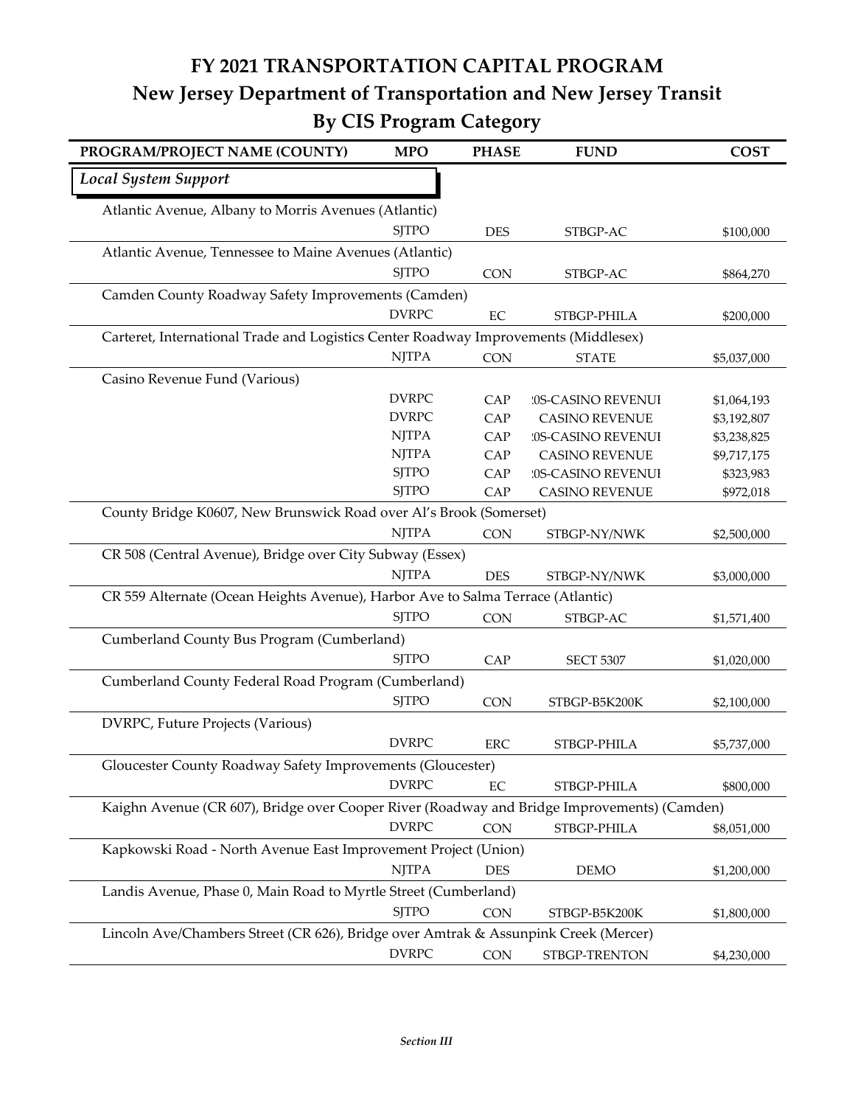## **FY 2021 TRANSPORTATION CAPITAL PROGRAM New Jersey Department of Transportation and New Jersey Transit By CIS Program Category**

| PROGRAM/PROJECT NAME (COUNTY)                                                               | <b>MPO</b>   | <b>PHASE</b> | <b>FUND</b>           | <b>COST</b> |
|---------------------------------------------------------------------------------------------|--------------|--------------|-----------------------|-------------|
| <b>Local System Support</b>                                                                 |              |              |                       |             |
| Atlantic Avenue, Albany to Morris Avenues (Atlantic)                                        |              |              |                       |             |
|                                                                                             | <b>SITPO</b> | <b>DES</b>   | STBGP-AC              | \$100,000   |
| Atlantic Avenue, Tennessee to Maine Avenues (Atlantic)                                      |              |              |                       |             |
|                                                                                             | <b>SJTPO</b> | <b>CON</b>   | STBGP-AC              | \$864,270   |
| Camden County Roadway Safety Improvements (Camden)                                          |              |              |                       |             |
|                                                                                             | <b>DVRPC</b> | EC           | STBGP-PHILA           | \$200,000   |
| Carteret, International Trade and Logistics Center Roadway Improvements (Middlesex)         |              |              |                       |             |
|                                                                                             | <b>NJTPA</b> | <b>CON</b>   | <b>STATE</b>          | \$5,037,000 |
| Casino Revenue Fund (Various)                                                               |              |              |                       |             |
|                                                                                             | <b>DVRPC</b> | CAP          | '0S-CASINO REVENUI    | \$1,064,193 |
|                                                                                             | <b>DVRPC</b> | CAP          | <b>CASINO REVENUE</b> | \$3,192,807 |
|                                                                                             | <b>NJTPA</b> | CAP          | '0S-CASINO REVENUI    | \$3,238,825 |
|                                                                                             | <b>NJTPA</b> | CAP          | <b>CASINO REVENUE</b> | \$9,717,175 |
|                                                                                             | <b>SJTPO</b> | CAP          | '0S-CASINO REVENUI    | \$323,983   |
|                                                                                             | <b>SJTPO</b> | CAP          | <b>CASINO REVENUE</b> | \$972,018   |
| County Bridge K0607, New Brunswick Road over Al's Brook (Somerset)                          |              |              |                       |             |
|                                                                                             | <b>NJTPA</b> | <b>CON</b>   | STBGP-NY/NWK          | \$2,500,000 |
| CR 508 (Central Avenue), Bridge over City Subway (Essex)                                    |              |              |                       |             |
|                                                                                             | <b>NJTPA</b> | <b>DES</b>   | STBGP-NY/NWK          | \$3,000,000 |
| CR 559 Alternate (Ocean Heights Avenue), Harbor Ave to Salma Terrace (Atlantic)             |              |              |                       |             |
|                                                                                             | <b>SJTPO</b> | <b>CON</b>   | STBGP-AC              | \$1,571,400 |
| Cumberland County Bus Program (Cumberland)                                                  |              |              |                       |             |
|                                                                                             | <b>SJTPO</b> | CAP          | <b>SECT 5307</b>      | \$1,020,000 |
| Cumberland County Federal Road Program (Cumberland)                                         |              |              |                       |             |
|                                                                                             | <b>SJTPO</b> | <b>CON</b>   | STBGP-B5K200K         | \$2,100,000 |
| DVRPC, Future Projects (Various)                                                            |              |              |                       |             |
|                                                                                             | <b>DVRPC</b> | <b>ERC</b>   | STBGP-PHILA           | \$5,737,000 |
| Gloucester County Roadway Safety Improvements (Gloucester)                                  |              |              |                       |             |
|                                                                                             | <b>DVRPC</b> | EC           | STBGP-PHILA           | \$800,000   |
| Kaighn Avenue (CR 607), Bridge over Cooper River (Roadway and Bridge Improvements) (Camden) |              |              |                       |             |
|                                                                                             | <b>DVRPC</b> | CON          | STBGP-PHILA           | \$8,051,000 |
| Kapkowski Road - North Avenue East Improvement Project (Union)                              |              |              |                       |             |
|                                                                                             | <b>NJTPA</b> | <b>DES</b>   | <b>DEMO</b>           | \$1,200,000 |
| Landis Avenue, Phase 0, Main Road to Myrtle Street (Cumberland)                             |              |              |                       |             |
|                                                                                             | <b>SJTPO</b> | <b>CON</b>   | STBGP-B5K200K         | \$1,800,000 |
| Lincoln Ave/Chambers Street (CR 626), Bridge over Amtrak & Assunpink Creek (Mercer)         |              |              |                       |             |
|                                                                                             | <b>DVRPC</b> | CON          | STBGP-TRENTON         | \$4,230,000 |
|                                                                                             |              |              |                       |             |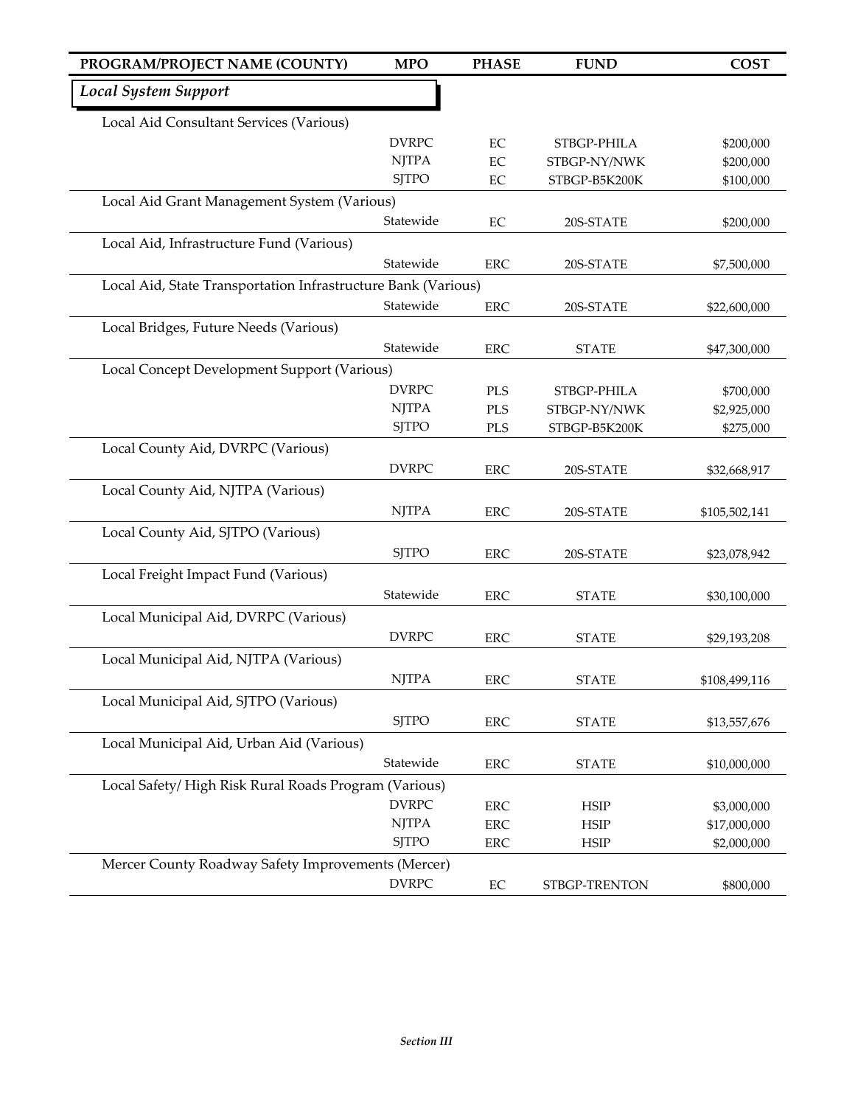| PROGRAM/PROJECT NAME (COUNTY)                                 | <b>MPO</b>   | <b>PHASE</b> | <b>FUND</b>   | <b>COST</b>   |
|---------------------------------------------------------------|--------------|--------------|---------------|---------------|
| <b>Local System Support</b>                                   |              |              |               |               |
| Local Aid Consultant Services (Various)                       |              |              |               |               |
|                                                               | <b>DVRPC</b> | EC           | STBGP-PHILA   | \$200,000     |
|                                                               | <b>NJTPA</b> | $\rm EC$     | STBGP-NY/NWK  | \$200,000     |
|                                                               | <b>SJTPO</b> | $\rm EC$     | STBGP-B5K200K | \$100,000     |
| Local Aid Grant Management System (Various)                   |              |              |               |               |
|                                                               | Statewide    | $\rm EC$     | 20S-STATE     | \$200,000     |
| Local Aid, Infrastructure Fund (Various)                      |              |              |               |               |
|                                                               | Statewide    | <b>ERC</b>   | 20S-STATE     | \$7,500,000   |
| Local Aid, State Transportation Infrastructure Bank (Various) |              |              |               |               |
|                                                               | Statewide    | <b>ERC</b>   | 20S-STATE     | \$22,600,000  |
| Local Bridges, Future Needs (Various)                         |              |              |               |               |
|                                                               | Statewide    | <b>ERC</b>   | <b>STATE</b>  | \$47,300,000  |
| Local Concept Development Support (Various)                   |              |              |               |               |
|                                                               | <b>DVRPC</b> | PLS          | STBGP-PHILA   | \$700,000     |
|                                                               | <b>NJTPA</b> | <b>PLS</b>   | STBGP-NY/NWK  | \$2,925,000   |
|                                                               | <b>SITPO</b> | <b>PLS</b>   | STBGP-B5K200K | \$275,000     |
| Local County Aid, DVRPC (Various)                             |              |              |               |               |
|                                                               | <b>DVRPC</b> | <b>ERC</b>   | 20S-STATE     | \$32,668,917  |
| Local County Aid, NJTPA (Various)                             |              |              |               |               |
|                                                               | <b>NJTPA</b> | <b>ERC</b>   | 20S-STATE     | \$105,502,141 |
| Local County Aid, SJTPO (Various)                             |              |              |               |               |
|                                                               | <b>SJTPO</b> | <b>ERC</b>   | 20S-STATE     | \$23,078,942  |
| Local Freight Impact Fund (Various)                           |              |              |               |               |
|                                                               | Statewide    | <b>ERC</b>   | <b>STATE</b>  | \$30,100,000  |
| Local Municipal Aid, DVRPC (Various)                          |              |              |               |               |
|                                                               | <b>DVRPC</b> | <b>ERC</b>   | <b>STATE</b>  | \$29,193,208  |
| Local Municipal Aid, NJTPA (Various)                          |              |              |               |               |
|                                                               | <b>NJTPA</b> | ERC          | <b>STATE</b>  | \$108,499,116 |
| Local Municipal Aid, SJTPO (Various)                          |              |              |               |               |
|                                                               | <b>SJTPO</b> | ERC          | <b>STATE</b>  | \$13,557,676  |
| Local Municipal Aid, Urban Aid (Various)                      |              |              |               |               |
|                                                               | Statewide    | ERC          | <b>STATE</b>  | \$10,000,000  |
| Local Safety/High Risk Rural Roads Program (Various)          |              |              |               |               |
|                                                               | <b>DVRPC</b> | ${\rm ERC}$  | <b>HSIP</b>   | \$3,000,000   |
|                                                               | <b>NJTPA</b> | ERC          | HSIP          | \$17,000,000  |
|                                                               | <b>SJTPO</b> | ERC          | HSIP          | \$2,000,000   |
| Mercer County Roadway Safety Improvements (Mercer)            |              |              |               |               |
|                                                               | <b>DVRPC</b> | EC           | STBGP-TRENTON | \$800,000     |
|                                                               |              |              |               |               |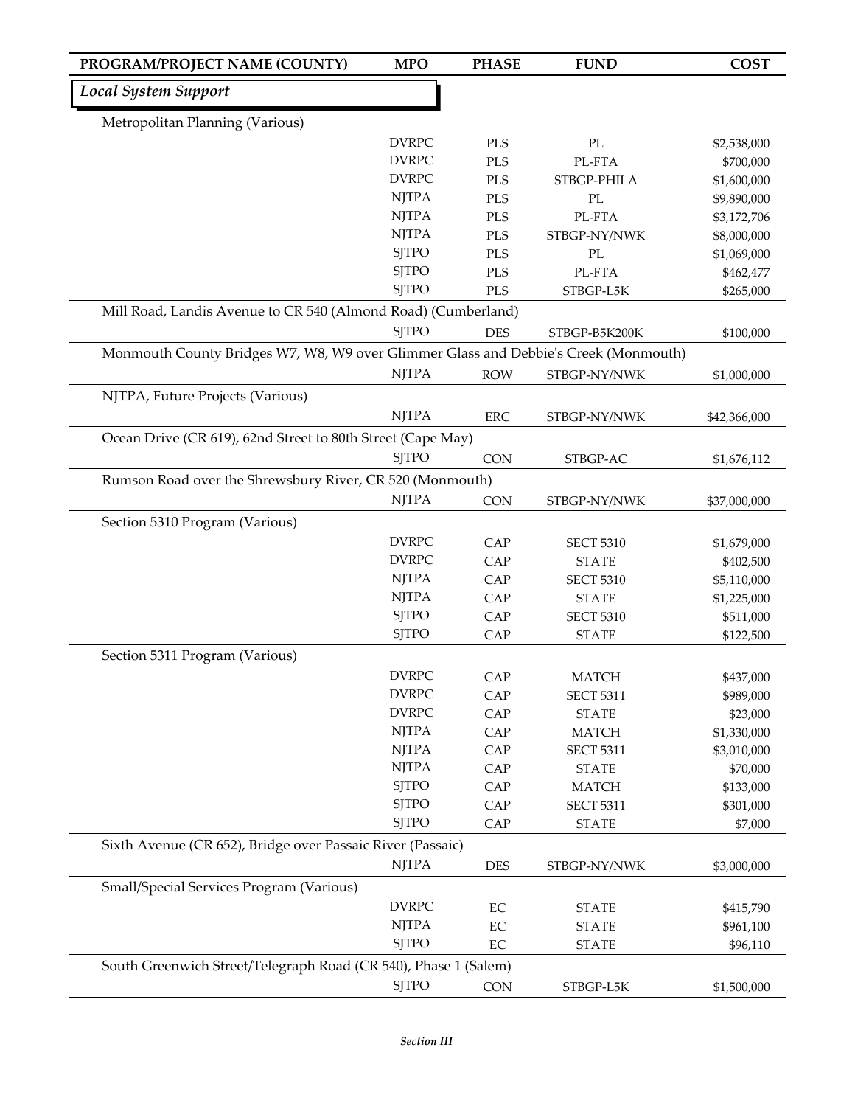| PROGRAM/PROJECT NAME (COUNTY)                                                       | <b>MPO</b>   | <b>PHASE</b> | <b>FUND</b>              | <b>COST</b>  |
|-------------------------------------------------------------------------------------|--------------|--------------|--------------------------|--------------|
| <b>Local System Support</b>                                                         |              |              |                          |              |
| Metropolitan Planning (Various)                                                     |              |              |                          |              |
|                                                                                     | <b>DVRPC</b> | <b>PLS</b>   | $\mathcal{P}\mathcal{L}$ | \$2,538,000  |
|                                                                                     | <b>DVRPC</b> | PLS          | PL-FTA                   | \$700,000    |
|                                                                                     | <b>DVRPC</b> | PLS          | STBGP-PHILA              | \$1,600,000  |
|                                                                                     | <b>NJTPA</b> | PLS          | $\mathcal{P}\mathcal{L}$ | \$9,890,000  |
|                                                                                     | <b>NJTPA</b> | PLS          | PL-FTA                   | \$3,172,706  |
|                                                                                     | <b>NJTPA</b> | PLS          | STBGP-NY/NWK             | \$8,000,000  |
|                                                                                     | <b>SJTPO</b> | PLS          | PL                       | \$1,069,000  |
|                                                                                     | <b>SJTPO</b> | PLS          | PL-FTA                   | \$462,477    |
|                                                                                     | <b>SJTPO</b> | PLS          | STBGP-L5K                | \$265,000    |
| Mill Road, Landis Avenue to CR 540 (Almond Road) (Cumberland)                       |              |              |                          |              |
|                                                                                     | <b>SJTPO</b> | <b>DES</b>   | STBGP-B5K200K            | \$100,000    |
| Monmouth County Bridges W7, W8, W9 over Glimmer Glass and Debbie's Creek (Monmouth) |              |              |                          |              |
|                                                                                     | <b>NJTPA</b> | <b>ROW</b>   | STBGP-NY/NWK             | \$1,000,000  |
| NJTPA, Future Projects (Various)                                                    |              |              |                          |              |
|                                                                                     | <b>NJTPA</b> | ERC          | STBGP-NY/NWK             | \$42,366,000 |
| Ocean Drive (CR 619), 62nd Street to 80th Street (Cape May)                         |              |              |                          |              |
|                                                                                     | <b>SJTPO</b> | <b>CON</b>   | STBGP-AC                 | \$1,676,112  |
| Rumson Road over the Shrewsbury River, CR 520 (Monmouth)                            |              |              |                          |              |
|                                                                                     | <b>NJTPA</b> | <b>CON</b>   | STBGP-NY/NWK             | \$37,000,000 |
| Section 5310 Program (Various)                                                      |              |              |                          |              |
|                                                                                     | <b>DVRPC</b> | CAP          | <b>SECT 5310</b>         | \$1,679,000  |
|                                                                                     | <b>DVRPC</b> | CAP          | <b>STATE</b>             | \$402,500    |
|                                                                                     | <b>NJTPA</b> | CAP          | <b>SECT 5310</b>         | \$5,110,000  |
|                                                                                     | <b>NJTPA</b> | CAP          | <b>STATE</b>             | \$1,225,000  |
|                                                                                     | <b>SJTPO</b> | CAP          | <b>SECT 5310</b>         | \$511,000    |
|                                                                                     | <b>SJTPO</b> | CAP          | <b>STATE</b>             | \$122,500    |
| Section 5311 Program (Various)                                                      |              |              |                          |              |
|                                                                                     | <b>DVRPC</b> | CAP          | <b>MATCH</b>             | \$437,000    |
|                                                                                     | <b>DVRPC</b> | CAP          | <b>SECT 5311</b>         | \$989,000    |
|                                                                                     | <b>DVRPC</b> | CAP          | <b>STATE</b>             | \$23,000     |
|                                                                                     | <b>NJTPA</b> | CAP          | <b>MATCH</b>             | \$1,330,000  |
|                                                                                     | <b>NJTPA</b> | CAP          | <b>SECT 5311</b>         | \$3,010,000  |
|                                                                                     | <b>NJTPA</b> | CAP          | <b>STATE</b>             | \$70,000     |
|                                                                                     | <b>SJTPO</b> | CAP          | <b>MATCH</b>             | \$133,000    |
|                                                                                     | <b>SJTPO</b> | CAP          | <b>SECT 5311</b>         | \$301,000    |
|                                                                                     | <b>SJTPO</b> | CAP          | <b>STATE</b>             | \$7,000      |
| Sixth Avenue (CR 652), Bridge over Passaic River (Passaic)                          |              |              |                          |              |
|                                                                                     | <b>NJTPA</b> | <b>DES</b>   | STBGP-NY/NWK             | \$3,000,000  |
| Small/Special Services Program (Various)                                            |              |              |                          |              |
|                                                                                     | <b>DVRPC</b> | $\rm EC$     | <b>STATE</b>             | \$415,790    |
|                                                                                     | <b>NJTPA</b> | EC           | <b>STATE</b>             | \$961,100    |
|                                                                                     | <b>SJTPO</b> | EC           | <b>STATE</b>             | \$96,110     |
| South Greenwich Street/Telegraph Road (CR 540), Phase 1 (Salem)                     |              |              |                          |              |
|                                                                                     | <b>SJTPO</b> | CON          | STBGP-L5K                | \$1,500,000  |